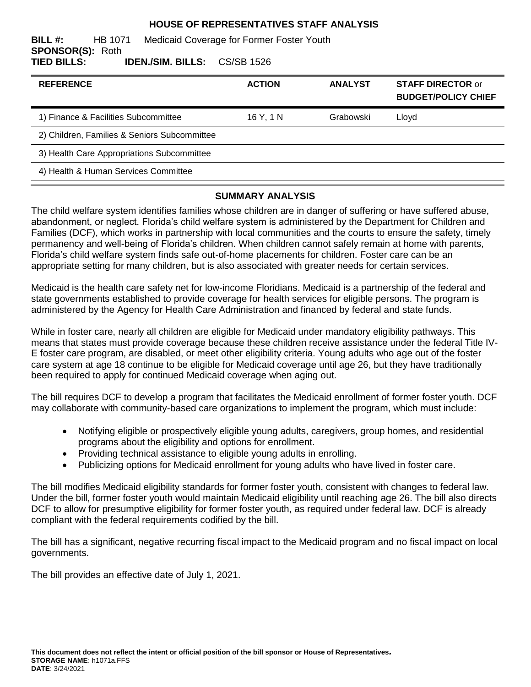### **HOUSE OF REPRESENTATIVES STAFF ANALYSIS**

| BILL #:                 | HB 1071 | Medicaid Coverage for Former Foster Youth |  |  |  |
|-------------------------|---------|-------------------------------------------|--|--|--|
| <b>SPONSOR(S): Roth</b> |         |                                           |  |  |  |
| TIED BILLS:             |         | <b>IDEN./SIM. BILLS:</b> CS/SB 1526       |  |  |  |

| <b>REFERENCE</b>                             | <b>ACTION</b> | <b>ANALYST</b> | <b>STAFF DIRECTOR or</b><br><b>BUDGET/POLICY CHIEF</b> |
|----------------------------------------------|---------------|----------------|--------------------------------------------------------|
| 1) Finance & Facilities Subcommittee         | 16 Y. 1 N     | Grabowski      | Llovd                                                  |
| 2) Children, Families & Seniors Subcommittee |               |                |                                                        |
| 3) Health Care Appropriations Subcommittee   |               |                |                                                        |
| 4) Health & Human Services Committee         |               |                |                                                        |

### **SUMMARY ANALYSIS**

The child welfare system identifies families whose children are in danger of suffering or have suffered abuse, abandonment, or neglect. Florida's child welfare system is administered by the Department for Children and Families (DCF), which works in partnership with local communities and the courts to ensure the safety, timely permanency and well-being of Florida's children. When children cannot safely remain at home with parents, Florida's child welfare system finds safe out-of-home placements for children. Foster care can be an appropriate setting for many children, but is also associated with greater needs for certain services.

Medicaid is the health care safety net for low-income Floridians. Medicaid is a partnership of the federal and state governments established to provide coverage for health services for eligible persons. The program is administered by the Agency for Health Care Administration and financed by federal and state funds.

While in foster care, nearly all children are eligible for Medicaid under mandatory eligibility pathways. This means that states must provide coverage because these children receive assistance under the federal Title IV-E foster care program, are disabled, or meet other eligibility criteria. Young adults who age out of the foster care system at age 18 continue to be eligible for Medicaid coverage until age 26, but they have traditionally been required to apply for continued Medicaid coverage when aging out.

The bill requires DCF to develop a program that facilitates the Medicaid enrollment of former foster youth. DCF may collaborate with community-based care organizations to implement the program, which must include:

- Notifying eligible or prospectively eligible young adults, caregivers, group homes, and residential programs about the eligibility and options for enrollment.
- Providing technical assistance to eligible young adults in enrolling.
- Publicizing options for Medicaid enrollment for young adults who have lived in foster care.

The bill modifies Medicaid eligibility standards for former foster youth, consistent with changes to federal law. Under the bill, former foster youth would maintain Medicaid eligibility until reaching age 26. The bill also directs DCF to allow for presumptive eligibility for former foster youth, as required under federal law. DCF is already compliant with the federal requirements codified by the bill.

The bill has a significant, negative recurring fiscal impact to the Medicaid program and no fiscal impact on local governments.

The bill provides an effective date of July 1, 2021.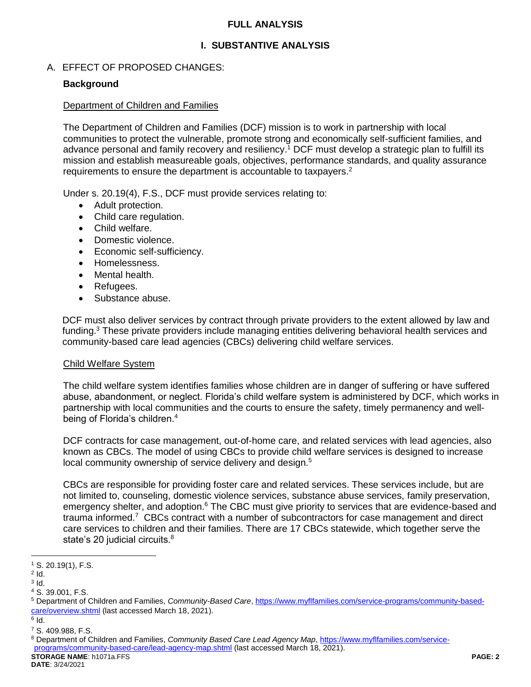### **FULL ANALYSIS**

## **I. SUBSTANTIVE ANALYSIS**

### A. EFFECT OF PROPOSED CHANGES:

### **Background**

#### Department of Children and Families

The Department of Children and Families (DCF) mission is to work in partnership with local communities to protect the vulnerable, promote strong and economically self-sufficient families, and advance personal and family recovery and resiliency.<sup>1</sup> DCF must develop a strategic plan to fulfill its mission and establish measureable goals, objectives, performance standards, and quality assurance requirements to ensure the department is accountable to taxpayers.<sup>2</sup>

Under s. 20.19(4), F.S., DCF must provide services relating to:

- Adult protection.
- Child care regulation.
- Child welfare.
- Domestic violence.
- Economic self-sufficiency.
- Homelessness.
- Mental health.
- Refugees.
- Substance abuse.

DCF must also deliver services by contract through private providers to the extent allowed by law and funding.<sup>3</sup> These private providers include managing entities delivering behavioral health services and community-based care lead agencies (CBCs) delivering child welfare services.

#### Child Welfare System

The child welfare system identifies families whose children are in danger of suffering or have suffered abuse, abandonment, or neglect. Florida's child welfare system is administered by DCF, which works in partnership with local communities and the courts to ensure the safety, timely permanency and wellbeing of Florida's children.<sup>4</sup>

DCF contracts for case management, out-of-home care, and related services with lead agencies, also known as CBCs. The model of using CBCs to provide child welfare services is designed to increase local community ownership of service delivery and design.<sup>5</sup>

CBCs are responsible for providing foster care and related services. These services include, but are not limited to, counseling, domestic violence services, substance abuse services, family preservation, emergency shelter, and adoption.<sup>6</sup> The CBC must give priority to services that are evidence-based and trauma informed.<sup>7</sup> CBCs contract with a number of subcontractors for case management and direct care services to children and their families. There are 17 CBCs statewide, which together serve the state's 20 judicial circuits.<sup>8</sup>

 $\overline{a}$ 

<sup>1</sup> S. 20.19(1), F.S.

 $2$  Id.

 $3$  ld.

<sup>4</sup> S. 39.001, F.S.

<sup>5</sup> Department of Children and Families, *Community-Based Care*, [https://www.myflfamilies.com/service-programs/community-based](https://www.myflfamilies.com/service-programs/community-based-care/overview.shtml)[care/overview.shtml](https://www.myflfamilies.com/service-programs/community-based-care/overview.shtml) (last accessed March 18, 2021).

 $^6$  Id.

<sup>7</sup> S. 409.988, F.S.

**STORAGE NAME**: h1071a.FFS **PAGE: 2** <sup>8</sup> Department of Children and Families, *Community Based Care Lead Agency Map*, [https://www.myflfamilies.com/service](https://www.myflfamilies.com/service-programs/community-based-care/lead-agency-map.shtml)[programs/community-based-care/lead-agency-map.shtml](https://www.myflfamilies.com/service-programs/community-based-care/lead-agency-map.shtml) (last accessed March 18, 2021).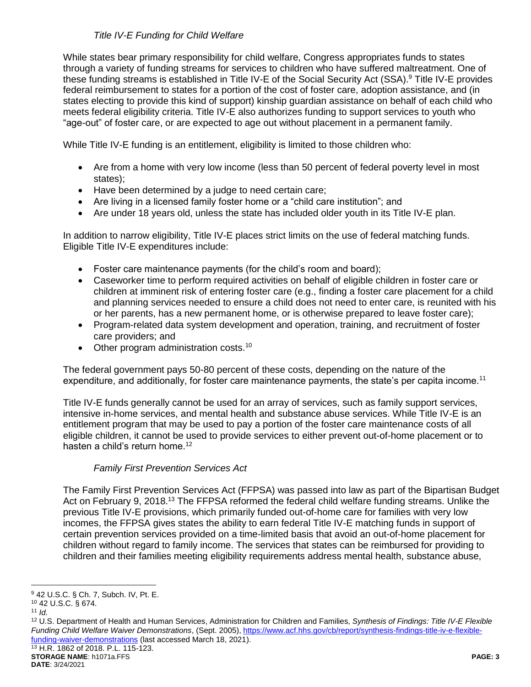## *Title IV-E Funding for Child Welfare*

While states bear primary responsibility for child welfare, Congress appropriates funds to states through a variety of funding streams for services to children who have suffered maltreatment. One of these funding streams is established in Title IV-E of the Social Security Act (SSA). <sup>9</sup> Title IV-E provides federal reimbursement to states for a portion of the cost of foster care, adoption assistance, and (in states electing to provide this kind of support) kinship guardian assistance on behalf of each child who meets federal eligibility criteria. Title IV-E also authorizes funding to support services to youth who "age-out" of foster care, or are expected to age out without placement in a permanent family.

While Title IV-E funding is an entitlement, eligibility is limited to those children who:

- Are from a home with very low income (less than 50 percent of federal poverty level in most states);
- Have been determined by a judge to need certain care;
- Are living in a licensed family foster home or a "child care institution"; and
- Are under 18 years old, unless the state has included older youth in its Title IV-E plan.

In addition to narrow eligibility, Title IV-E places strict limits on the use of federal matching funds. Eligible Title IV-E expenditures include:

- Foster care maintenance payments (for the child's room and board);
- Caseworker time to perform required activities on behalf of eligible children in foster care or children at imminent risk of entering foster care (e.g., finding a foster care placement for a child and planning services needed to ensure a child does not need to enter care, is reunited with his or her parents, has a new permanent home, or is otherwise prepared to leave foster care);
- Program-related data system development and operation, training, and recruitment of foster care providers; and
- Other program administration costs.<sup>10</sup>

The federal government pays 50-80 percent of these costs, depending on the nature of the expenditure, and additionally, for foster care maintenance payments, the state's per capita income.<sup>11</sup>

Title IV-E funds generally cannot be used for an array of services, such as family support services, intensive in-home services, and mental health and substance abuse services. While Title IV-E is an entitlement program that may be used to pay a portion of the foster care maintenance costs of all eligible children, it cannot be used to provide services to either prevent out-of-home placement or to hasten a child's return home.<sup>12</sup>

## *Family First Prevention Services Act*

The Family First Prevention Services Act (FFPSA) was passed into law as part of the Bipartisan Budget Act on February 9, 2018.<sup>13</sup> The FFPSA reformed the federal child welfare funding streams. Unlike the previous Title IV-E provisions, which primarily funded out-of-home care for families with very low incomes, the FFPSA gives states the ability to earn federal Title IV-E matching funds in support of certain prevention services provided on a time-limited basis that avoid an out-of-home placement for children without regard to family income. The services that states can be reimbursed for providing to children and their families meeting eligibility requirements address mental health, substance abuse,

<sup>13</sup> H.R. 1862 of 2018. P.L. 115-123.

 $\overline{a}$ <sup>9</sup> 42 U.S.C. § Ch. 7, Subch. IV, Pt. E.

<sup>10</sup> 42 U.S.C. § 674.

<sup>11</sup> *Id.*

<sup>12</sup> U.S. Department of Health and Human Services, Administration for Children and Families, *Synthesis of Findings: Title IV-E Flexible Funding Child Welfare Waiver Demonstrations*, (Sept. 2005), [https://www.acf.hhs.gov/cb/report/synthesis-findings-title-iv-e-flexible](https://www.acf.hhs.gov/cb/report/synthesis-findings-title-iv-e-flexible-funding-waiver-demonstrations)[funding-waiver-demonstrations](https://www.acf.hhs.gov/cb/report/synthesis-findings-title-iv-e-flexible-funding-waiver-demonstrations) (last accessed March 18, 2021).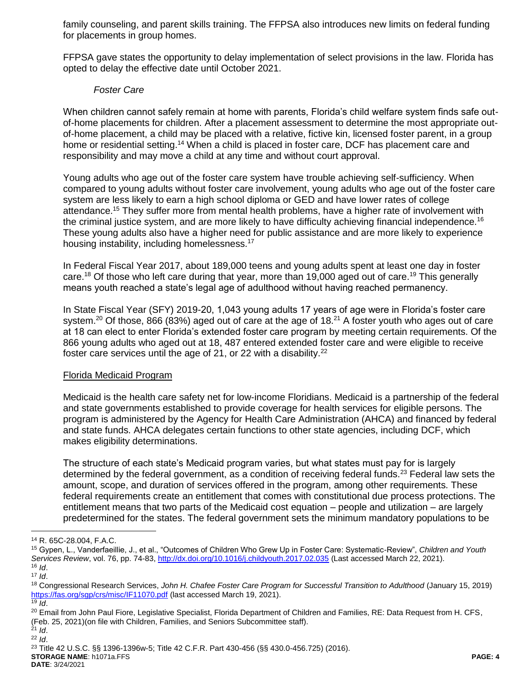family counseling, and parent skills training. The FFPSA also introduces new limits on federal funding for placements in group homes.

FFPSA gave states the opportunity to delay implementation of select provisions in the law. Florida has opted to delay the effective date until October 2021.

#### *Foster Care*

When children cannot safely remain at home with parents, Florida's child welfare system finds safe outof-home placements for children. After a placement assessment to determine the most appropriate outof-home placement, a child may be placed with a relative, fictive kin, licensed foster parent, in a group home or residential setting.<sup>14</sup> When a child is placed in foster care, DCF has placement care and responsibility and may move a child at any time and without court approval.

Young adults who age out of the foster care system have trouble achieving self-sufficiency. When compared to young adults without foster care involvement, young adults who age out of the foster care system are less likely to earn a high school diploma or GED and have lower rates of college attendance.<sup>15</sup> They suffer more from mental health problems, have a higher rate of involvement with the criminal justice system, and are more likely to have difficulty achieving financial independence.<sup>16</sup> These young adults also have a higher need for public assistance and are more likely to experience housing instability, including homelessness.<sup>17</sup>

In Federal Fiscal Year 2017, about 189,000 teens and young adults spent at least one day in foster care.<sup>18</sup> Of those who left care during that year, more than 19,000 aged out of care.<sup>19</sup> This generally means youth reached a state's legal age of adulthood without having reached permanency.

In State Fiscal Year (SFY) 2019-20, 1,043 young adults 17 years of age were in Florida's foster care system.<sup>20</sup> Of those, 866 (83%) aged out of care at the age of 18.<sup>21</sup> A foster youth who ages out of care at 18 can elect to enter Florida's extended foster care program by meeting certain requirements. Of the 866 young adults who aged out at 18, 487 entered extended foster care and were eligible to receive foster care services until the age of 21, or 22 with a disability. $^{22}$ 

#### Florida Medicaid Program

Medicaid is the health care safety net for low-income Floridians. Medicaid is a partnership of the federal and state governments established to provide coverage for health services for eligible persons. The program is administered by the Agency for Health Care Administration (AHCA) and financed by federal and state funds. AHCA delegates certain functions to other state agencies, including DCF, which makes eligibility determinations.

The structure of each state's Medicaid program varies, but what states must pay for is largely determined by the federal government, as a condition of receiving federal funds.<sup>23</sup> Federal law sets the amount, scope, and duration of services offered in the program, among other requirements. These federal requirements create an entitlement that comes with constitutional due process protections. The entitlement means that two parts of the Medicaid cost equation – people and utilization – are largely predetermined for the states. The federal government sets the minimum mandatory populations to be

 $\overline{a}$ 

<sup>21</sup> *Id*. <sup>22</sup> *Id*.

**STORAGE NAME**: h1071a.FFS **PAGE: 4 DATE**: 3/24/2021

<sup>14</sup> R. 65C-28.004, F.A.C.

<sup>15</sup> Gypen, L., Vanderfaeillie, J., et al., "Outcomes of Children Who Grew Up in Foster Care: Systematic-Review", *Children and Youth*  Services Review, vol. 76, pp. 74-83,<http://dx.doi.org/10.1016/j.childyouth.2017.02.035> (Last accessed March 22, 2021). <sup>16</sup> *Id*.

<sup>17</sup> *Id*.

<sup>18</sup> Congressional Research Services, *John H. Chafee Foster Care Program for Successful Transition to Adulthood* (January 15, 2019) <https://fas.org/sgp/crs/misc/IF11070.pdf> (last accessed March 19, 2021).  $\overline{19}$  *Id.* 

<sup>&</sup>lt;sup>20</sup> Email from John Paul Fiore, Legislative Specialist, Florida Department of Children and Families, RE: Data Request from H. CFS, (Feb. 25, 2021)(on file with Children, Families, and Seniors Subcommittee staff).

<sup>23</sup> Title 42 U.S.C. §§ 1396-1396w-5; Title 42 C.F.R. Part 430-456 (§§ 430.0-456.725) (2016).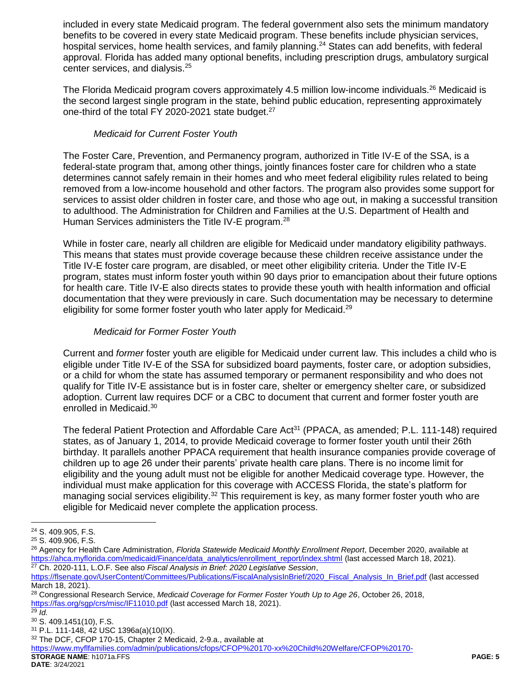included in every state Medicaid program. The federal government also sets the minimum mandatory benefits to be covered in every state Medicaid program. These benefits include physician services, hospital services, home health services, and family planning.<sup>24</sup> States can add benefits, with federal approval. Florida has added many optional benefits, including prescription drugs, ambulatory surgical center services, and dialysis.<sup>25</sup>

The Florida Medicaid program covers approximately 4.5 million low-income individuals.<sup>26</sup> Medicaid is the second largest single program in the state, behind public education, representing approximately one-third of the total FY 2020-2021 state budget.<sup>27</sup>

## *Medicaid for Current Foster Youth*

The Foster Care, Prevention, and Permanency program, authorized in Title IV-E of the SSA, is a federal-state program that, among other things, jointly finances foster care for children who a state determines cannot safely remain in their homes and who meet federal eligibility rules related to being removed from a low-income household and other factors. The program also provides some support for services to assist older children in foster care, and those who age out, in making a successful transition to adulthood. The Administration for Children and Families at the U.S. Department of Health and Human Services administers the Title IV-E program.<sup>28</sup>

While in foster care, nearly all children are eligible for Medicaid under mandatory eligibility pathways. This means that states must provide coverage because these children receive assistance under the Title IV-E foster care program, are disabled, or meet other eligibility criteria. Under the Title IV-E program, states must inform foster youth within 90 days prior to emancipation about their future options for health care. Title IV-E also directs states to provide these youth with health information and official documentation that they were previously in care. Such documentation may be necessary to determine eligibility for some former foster youth who later apply for Medicaid.<sup>29</sup>

## *Medicaid for Former Foster Youth*

Current and *former* foster youth are eligible for Medicaid under current law. This includes a child who is eligible under Title IV-E of the SSA for subsidized board payments, foster care, or adoption subsidies, or a child for whom the state has assumed temporary or permanent responsibility and who does not qualify for Title IV-E assistance but is in foster care, shelter or emergency shelter care, or subsidized adoption. Current law requires DCF or a CBC to document that current and former foster youth are enrolled in Medicaid.<sup>30</sup>

The federal Patient Protection and Affordable Care Act<sup>31</sup> (PPACA, as amended; P.L. 111-148) required states, as of January 1, 2014, to provide Medicaid coverage to former foster youth until their 26th birthday. It parallels another PPACA requirement that health insurance companies provide coverage of children up to age 26 under their parents' private health care plans. There is no income limit for eligibility and the young adult must not be eligible for another Medicaid coverage type. However, the individual must make application for this coverage with ACCESS Florida, the state's platform for managing social services eligibility.<sup>32</sup> This requirement is key, as many former foster youth who are eligible for Medicaid never complete the application process.

 $\overline{a}$ 

<sup>24</sup> S. 409.905, F.S.

<sup>25</sup> S. 409.906, F.S.

<sup>26</sup> Agency for Health Care Administration, *Florida Statewide Medicaid Monthly Enrollment Report*, December 2020, available at [https://ahca.myflorida.com/medicaid/Finance/data\\_analytics/enrollment\\_report/index.shtml](https://ahca.myflorida.com/medicaid/Finance/data_analytics/enrollment_report/index.shtml) (last accessed March 18, 2021). <sup>27</sup> Ch. 2020-111, L.O.F. See also *Fiscal Analysis in Brief: 2020 Legislative Session*,

[https://flsenate.gov/UserContent/Committees/Publications/FiscalAnalysisInBrief/2020\\_Fiscal\\_Analysis\\_In\\_Brief.pdf](https://flsenate.gov/UserContent/Committees/Publications/FiscalAnalysisInBrief/2020_Fiscal_Analysis_In_Brief.pdf) (last accessed March 18, 2021).

<sup>28</sup> Congressional Research Service, *Medicaid Coverage for Former Foster Youth Up to Age 26*, October 26, 2018, <https://fas.org/sgp/crs/misc/IF11010.pdf> (last accessed March 18, 2021).

 $\overline{^{29}}$  *Id.* 

<sup>30</sup> S. 409.1451(10), F.S.

<sup>31</sup> P.L. 111-148, 42 USC 1396a(a)(10(IX).

<sup>32</sup> The DCF, CFOP 170-15, Chapter 2 Medicaid, 2-9.a., available at

**STORAGE NAME**: h1071a.FFS **PAGE: 5** [https://www.myflfamilies.com/admin/publications/cfops/CFOP%20170-xx%20Child%20Welfare/CFOP%20170-](https://www.myflfamilies.com/admin/publications/cfops/CFOP%20170-xx%20Child%20Welfare/CFOP%20170-15%20%20Federal%20and%20State%20Funding%20Eligibility/CFOP%20170-15,%20%20Chapter%2002,%20Medicaid.pdf)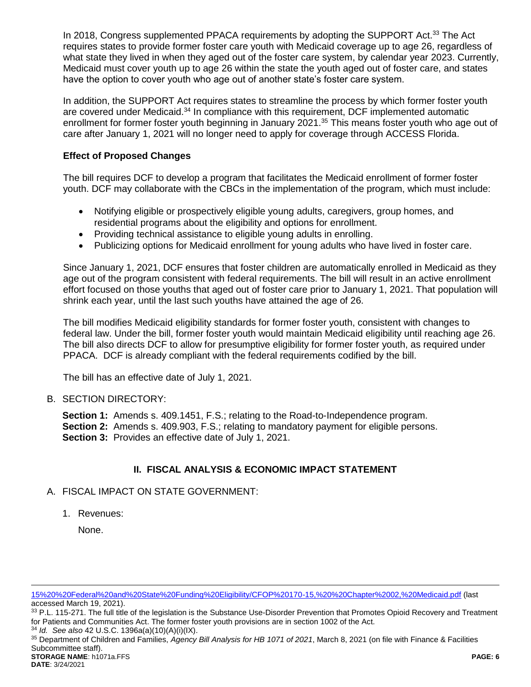In 2018, Congress supplemented PPACA requirements by adopting the SUPPORT Act.<sup>33</sup> The Act requires states to provide former foster care youth with Medicaid coverage up to age 26, regardless of what state they lived in when they aged out of the foster care system, by calendar year 2023. Currently, Medicaid must cover youth up to age 26 within the state the youth aged out of foster care, and states have the option to cover youth who age out of another state's foster care system.

In addition, the SUPPORT Act requires states to streamline the process by which former foster youth are covered under Medicaid.<sup>34</sup> In compliance with this requirement, DCF implemented automatic enrollment for former foster youth beginning in January 2021.<sup>35</sup> This means foster youth who age out of care after January 1, 2021 will no longer need to apply for coverage through ACCESS Florida.

## **Effect of Proposed Changes**

The bill requires DCF to develop a program that facilitates the Medicaid enrollment of former foster youth. DCF may collaborate with the CBCs in the implementation of the program, which must include:

- Notifying eligible or prospectively eligible young adults, caregivers, group homes, and residential programs about the eligibility and options for enrollment.
- Providing technical assistance to eligible young adults in enrolling.
- Publicizing options for Medicaid enrollment for young adults who have lived in foster care.

Since January 1, 2021, DCF ensures that foster children are automatically enrolled in Medicaid as they age out of the program consistent with federal requirements. The bill will result in an active enrollment effort focused on those youths that aged out of foster care prior to January 1, 2021. That population will shrink each year, until the last such youths have attained the age of 26.

The bill modifies Medicaid eligibility standards for former foster youth, consistent with changes to federal law. Under the bill, former foster youth would maintain Medicaid eligibility until reaching age 26. The bill also directs DCF to allow for presumptive eligibility for former foster youth, as required under PPACA. DCF is already compliant with the federal requirements codified by the bill.

The bill has an effective date of July 1, 2021.

### B. SECTION DIRECTORY:

**Section 1:** Amends s. 409.1451, F.S.; relating to the Road-to-Independence program. **Section 2:** Amends s. 409.903, F.S.; relating to mandatory payment for eligible persons. **Section 3:** Provides an effective date of July 1, 2021.

## **II. FISCAL ANALYSIS & ECONOMIC IMPACT STATEMENT**

### A. FISCAL IMPACT ON STATE GOVERNMENT:

1. Revenues:

None.

[15%20%20Federal%20and%20State%20Funding%20Eligibility/CFOP%20170-15,%20%20Chapter%2002,%20Medicaid.pdf](https://www.myflfamilies.com/admin/publications/cfops/CFOP%20170-xx%20Child%20Welfare/CFOP%20170-15%20%20Federal%20and%20State%20Funding%20Eligibility/CFOP%20170-15,%20%20Chapter%2002,%20Medicaid.pdf) (last accessed March 19, 2021).

33 P.L. 115-271. The full title of the legislation is the Substance Use-Disorder Prevention that Promotes Opioid Recovery and Treatment for Patients and Communities Act. The former foster youth provisions are in section 1002 of the Act.

<sup>34</sup> *Id. See also* 42 U.S.C. 1396a(a)(10)(A)(i)(IX).

**STORAGE NAME**: h1071a.FFS **PAGE: 6** <sup>35</sup> Department of Children and Families, *Agency Bill Analysis for HB 1071 of 2021*, March 8, 2021 (on file with Finance & Facilities Subcommittee staff).

 $\overline{a}$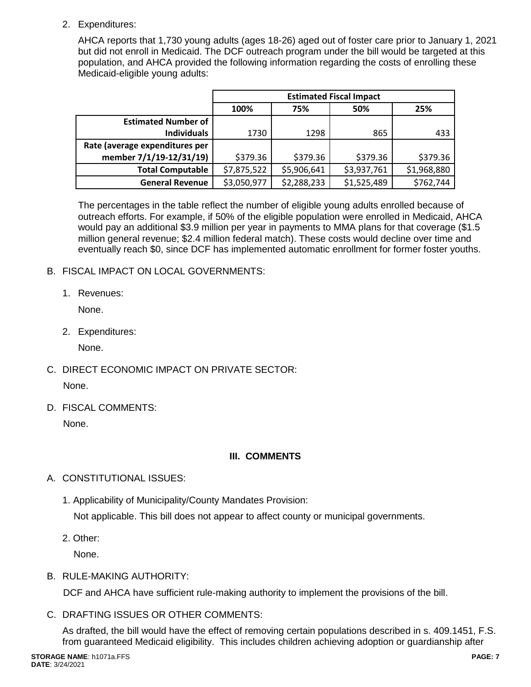2. Expenditures:

AHCA reports that 1,730 young adults (ages 18-26) aged out of foster care prior to January 1, 2021 but did not enroll in Medicaid. The DCF outreach program under the bill would be targeted at this population, and AHCA provided the following information regarding the costs of enrolling these Medicaid-eligible young adults:

|                                | <b>Estimated Fiscal Impact</b> |             |             |             |  |  |
|--------------------------------|--------------------------------|-------------|-------------|-------------|--|--|
|                                | 100%                           | 75%         | 50%         | 25%         |  |  |
| <b>Estimated Number of</b>     |                                |             |             |             |  |  |
| <b>Individuals</b>             | 1730                           | 1298        | 865         | 433         |  |  |
| Rate (average expenditures per |                                |             |             |             |  |  |
| member 7/1/19-12/31/19)        | \$379.36                       | \$379.36    | \$379.36    | \$379.36    |  |  |
| <b>Total Computable</b>        | \$7,875,522                    | \$5,906,641 | \$3,937,761 | \$1,968,880 |  |  |
| <b>General Revenue</b>         | \$3,050,977                    | \$2,288,233 | \$1,525,489 | \$762,744   |  |  |

The percentages in the table reflect the number of eligible young adults enrolled because of outreach efforts. For example, if 50% of the eligible population were enrolled in Medicaid, AHCA would pay an additional \$3.9 million per year in payments to MMA plans for that coverage (\$1.5 million general revenue; \$2.4 million federal match). These costs would decline over time and eventually reach \$0, since DCF has implemented automatic enrollment for former foster youths.

## B. FISCAL IMPACT ON LOCAL GOVERNMENTS:

1. Revenues:

None.

2. Expenditures:

None.

- C. DIRECT ECONOMIC IMPACT ON PRIVATE SECTOR: None.
- D. FISCAL COMMENTS:

None.

# **III. COMMENTS**

- A. CONSTITUTIONAL ISSUES:
	- 1. Applicability of Municipality/County Mandates Provision:

Not applicable. This bill does not appear to affect county or municipal governments.

2. Other:

None.

B. RULE-MAKING AUTHORITY:

DCF and AHCA have sufficient rule-making authority to implement the provisions of the bill.

C. DRAFTING ISSUES OR OTHER COMMENTS:

As drafted, the bill would have the effect of removing certain populations described in s. 409.1451, F.S. from guaranteed Medicaid eligibility. This includes children achieving adoption or guardianship after